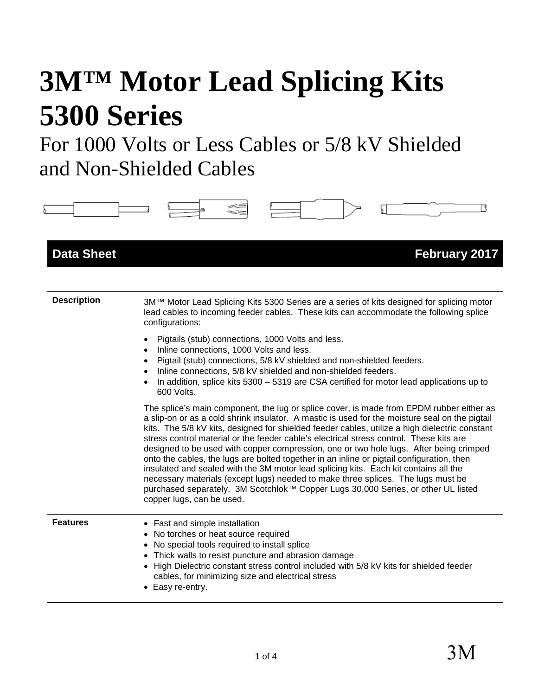# **3M™ Motor Lead Splicing Kits 5300 Series**

For 1000 Volts or Less Cables or 5/8 kV Shielded and Non-Shielded Cables

| <b>Data Sheet</b>  | <b>February 2017</b>                                                                                                                                                                                                                                                                                                                                                                                                                                                                                                                                                                                                                                                                                                                                                                                                                                                         |
|--------------------|------------------------------------------------------------------------------------------------------------------------------------------------------------------------------------------------------------------------------------------------------------------------------------------------------------------------------------------------------------------------------------------------------------------------------------------------------------------------------------------------------------------------------------------------------------------------------------------------------------------------------------------------------------------------------------------------------------------------------------------------------------------------------------------------------------------------------------------------------------------------------|
| <b>Description</b> | 3M™ Motor Lead Splicing Kits 5300 Series are a series of kits designed for splicing motor<br>lead cables to incoming feeder cables. These kits can accommodate the following splice<br>configurations:                                                                                                                                                                                                                                                                                                                                                                                                                                                                                                                                                                                                                                                                       |
|                    | Pigtails (stub) connections, 1000 Volts and less.<br>Inline connections, 1000 Volts and less.<br>Pigtail (stub) connections, 5/8 kV shielded and non-shielded feeders.<br>$\bullet$<br>Inline connections, 5/8 kV shielded and non-shielded feeders.<br>$\bullet$<br>In addition, splice kits 5300 - 5319 are CSA certified for motor lead applications up to<br>600 Volts.                                                                                                                                                                                                                                                                                                                                                                                                                                                                                                  |
|                    | The splice's main component, the lug or splice cover, is made from EPDM rubber either as<br>a slip-on or as a cold shrink insulator. A mastic is used for the moisture seal on the pigtail<br>kits. The 5/8 kV kits, designed for shielded feeder cables, utilize a high dielectric constant<br>stress control material or the feeder cable's electrical stress control. These kits are<br>designed to be used with copper compression, one or two hole lugs. After being crimped<br>onto the cables, the lugs are bolted together in an inline or pigtail configuration, then<br>insulated and sealed with the 3M motor lead splicing kits. Each kit contains all the<br>necessary materials (except lugs) needed to make three splices. The lugs must be<br>purchased separately. 3M Scotchlok™ Copper Lugs 30,000 Series, or other UL listed<br>copper lugs, can be used. |
| <b>Features</b>    | • Fast and simple installation<br>• No torches or heat source required<br>• No special tools required to install splice<br>• Thick walls to resist puncture and abrasion damage<br>• High Dielectric constant stress control included with 5/8 kV kits for shielded feeder<br>cables, for minimizing size and electrical stress<br>• Easy re-entry.                                                                                                                                                                                                                                                                                                                                                                                                                                                                                                                          |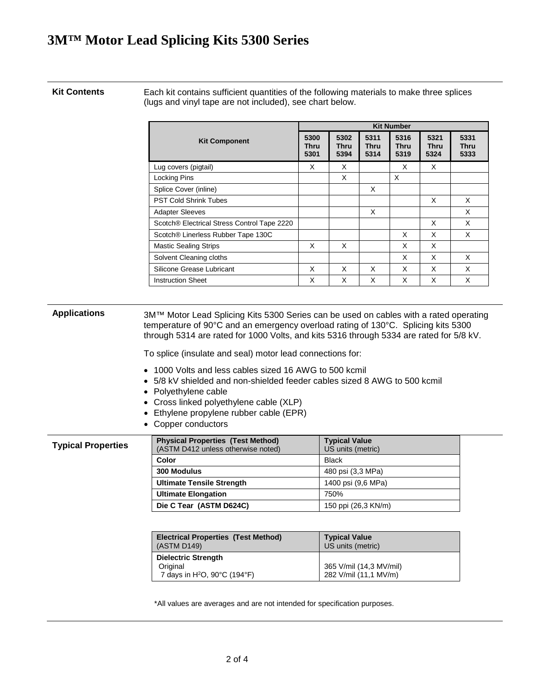# **3M™ Motor Lead Splicing Kits 5300 Series**

**Kit Contents** Each kit contains sufficient quantities of the following materials to make three splices (lugs and vinyl tape are not included), see chart below.

|                                             |                             | <b>Kit Number</b>           |                      |                             |                      |                      |
|---------------------------------------------|-----------------------------|-----------------------------|----------------------|-----------------------------|----------------------|----------------------|
| <b>Kit Component</b>                        | 5300<br><b>Thru</b><br>5301 | 5302<br><b>Thru</b><br>5394 | 5311<br>Thru<br>5314 | 5316<br><b>Thru</b><br>5319 | 5321<br>Thru<br>5324 | 5331<br>Thru<br>5333 |
| Lug covers (pigtail)                        | X                           | X                           |                      | X                           | X                    |                      |
| <b>Locking Pins</b>                         |                             | X                           |                      | $\times$                    |                      |                      |
| Splice Cover (inline)                       |                             |                             | X                    |                             |                      |                      |
| <b>PST Cold Shrink Tubes</b>                |                             |                             |                      |                             | X                    | X                    |
| <b>Adapter Sleeves</b>                      |                             |                             | X                    |                             |                      | X                    |
| Scotch® Electrical Stress Control Tape 2220 |                             |                             |                      |                             | X                    | X                    |
| Scotch® Linerless Rubber Tape 130C          |                             |                             |                      | X                           | X                    | X                    |
| <b>Mastic Sealing Strips</b>                | X                           | X                           |                      | X                           | X                    |                      |
| Solvent Cleaning cloths                     |                             |                             |                      | X                           | X                    | X                    |
| Silicone Grease Lubricant                   | X                           | X                           | X                    | X                           | X                    | X                    |
| <b>Instruction Sheet</b>                    | X                           | X                           | X                    | X                           | X                    | X                    |

| <b>Applications</b>       | 3M™ Motor Lead Splicing Kits 5300 Series can be used on cables with a rated operating<br>temperature of 90°C and an emergency overload rating of 130°C. Splicing kits 5300<br>through 5314 are rated for 1000 Volts, and kits 5316 through 5334 are rated for 5/8 kV.        |                                           |  |  |
|---------------------------|------------------------------------------------------------------------------------------------------------------------------------------------------------------------------------------------------------------------------------------------------------------------------|-------------------------------------------|--|--|
|                           | To splice (insulate and seal) motor lead connections for:                                                                                                                                                                                                                    |                                           |  |  |
|                           | $\bullet$ 1000 Volts and less cables sized 16 AWG to 500 kcmil<br>• 5/8 kV shielded and non-shielded feeder cables sized 8 AWG to 500 kcmil<br>• Polyethylene cable<br>• Cross linked polyethylene cable (XLP)<br>Ethylene propylene rubber cable (EPR)<br>Copper conductors |                                           |  |  |
| <b>Typical Properties</b> | <b>Physical Properties (Test Method)</b><br>(ASTM D412 unless otherwise noted)                                                                                                                                                                                               | <b>Typical Value</b><br>US units (metric) |  |  |
|                           | Color                                                                                                                                                                                                                                                                        | <b>Black</b>                              |  |  |
|                           | 300 Modulus                                                                                                                                                                                                                                                                  | 480 psi (3,3 MPa)                         |  |  |
|                           | <b>Ultimate Tensile Strength</b>                                                                                                                                                                                                                                             | 1400 psi (9,6 MPa)                        |  |  |
|                           | <b>Ultimate Elongation</b>                                                                                                                                                                                                                                                   | 750%                                      |  |  |
|                           | Die C Tear (ASTM D624C)                                                                                                                                                                                                                                                      | 150 ppi (26,3 KN/m)                       |  |  |
|                           |                                                                                                                                                                                                                                                                              |                                           |  |  |
|                           | <b>Electrical Properties (Test Method)</b><br>(ASTM D149)                                                                                                                                                                                                                    | <b>Typical Value</b><br>US units (metric) |  |  |
|                           | <b>Dielectric Strength</b>                                                                                                                                                                                                                                                   |                                           |  |  |

\*All values are averages and are not intended for specification purposes.

365 V/mil (14,3 MV/mil) 282 V/mil (11,1 MV/m)

**Original** 

7 days in H2O, 90°C (194°F)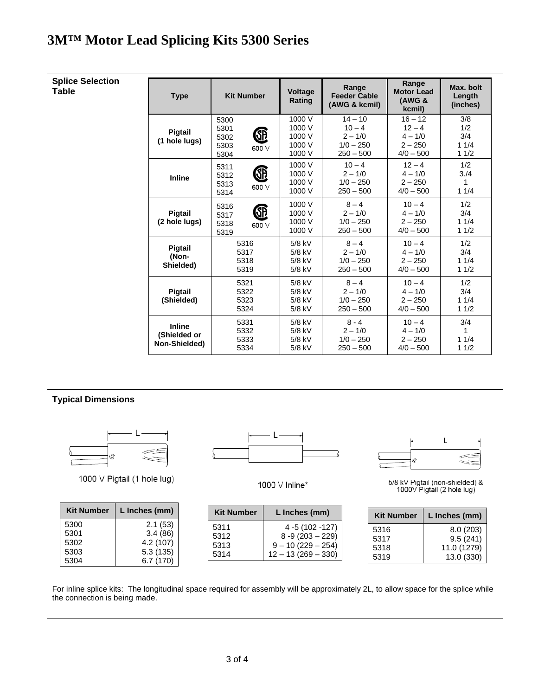# **3M™ Motor Lead Splicing Kits 5300 Series**

| <b>Splice Selection</b><br>Table | <b>Type</b>                                    | <b>Kit Number</b>                                  | <b>Voltage</b><br>Rating                       | Range<br><b>Feeder Cable</b><br>(AWG & kcmil)                    | Range<br><b>Motor Lead</b><br><b>(AWG &amp;</b><br>kcmil)      | Max. bolt<br>Length<br>(inches)   |
|----------------------------------|------------------------------------------------|----------------------------------------------------|------------------------------------------------|------------------------------------------------------------------|----------------------------------------------------------------|-----------------------------------|
|                                  | Pigtail<br>(1 hole lugs)                       | 5300<br>5301<br>Œ<br>5302<br>5303<br>600 V<br>5304 | 1000 V<br>1000 V<br>1000 V<br>1000 V<br>1000 V | $14 - 10$<br>$10 - 4$<br>$2 - 1/0$<br>$1/0 - 250$<br>$250 - 500$ | $16 - 12$<br>$12 - 4$<br>$4 - 1/0$<br>$2 - 250$<br>$4/0 - 500$ | 3/8<br>1/2<br>3/4<br>11/4<br>11/2 |
|                                  | <b>Inline</b>                                  | 5311<br>Œ<br>5312<br>5313<br>600 V<br>5314         | 1000 V<br>1000 V<br>1000 V<br>1000 V           | $10 - 4$<br>$2 - 1/0$<br>$1/0 - 250$<br>$250 - 500$              | $12 - 4$<br>$4 - 1/0$<br>$2 - 250$<br>$4/0 - 500$              | 1/2<br>3/4<br>1<br>11/4           |
|                                  | Pigtail<br>(2 hole lugs)                       | 5316<br>Œ<br>5317<br>5318<br>600 V<br>5319         | 1000 V<br>1000 V<br>1000 V<br>1000 V           | $8 - 4$<br>$2 - 1/0$<br>$1/0 - 250$<br>$250 - 500$               | $10 - 4$<br>$4 - 1/0$<br>$2 - 250$<br>$4/0 - 500$              | 1/2<br>3/4<br>11/4<br>11/2        |
|                                  | Pigtail<br>(Non-<br>Shielded)                  | 5316<br>5317<br>5318<br>5319                       | 5/8 kV<br>5/8 kV<br>5/8 kV<br>5/8 kV           | $8 - 4$<br>$2 - 1/0$<br>$1/0 - 250$<br>$250 - 500$               | $10 - 4$<br>$4 - 1/0$<br>$2 - 250$<br>$4/0 - 500$              | 1/2<br>3/4<br>11/4<br>11/2        |
|                                  | <b>Pigtail</b><br>(Shielded)                   | 5321<br>5322<br>5323<br>5324                       | 5/8 kV<br>5/8 kV<br>5/8 kV<br>5/8 kV           | $8 - 4$<br>$2 - 1/0$<br>$1/0 - 250$<br>$250 - 500$               | $10 - 4$<br>$4 - 1/0$<br>$2 - 250$<br>$4/0 - 500$              | 1/2<br>3/4<br>11/4<br>11/2        |
|                                  | <b>Inline</b><br>(Shielded or<br>Non-Shielded) | 5331<br>5332<br>5333<br>5334                       | 5/8 kV<br>5/8 kV<br>5/8 kV<br>5/8 kV           | $8 - 4$<br>$2 - 1/0$<br>$1/0 - 250$<br>$250 - 500$               | $10 - 4$<br>$4 - 1/0$<br>$2 - 250$<br>$4/0 - 500$              | 3/4<br>1<br>11/4<br>11/2          |

#### **Typical Dimensions**



1000 V Pigtail (1 hole lug)

| <b>Kit Number</b> | L Inches (mm) |
|-------------------|---------------|
| 5300              | 2.1(53)       |
| 5301              | 3.4(86)       |
| 5302              | 4.2 (107)     |
| 5303              | 5.3(135)      |
| 5304              | 6.7(170)      |



1000 V Inline\*

| <b>Kit Number</b> | L Inches (mm)        |
|-------------------|----------------------|
| 5311              | 4 -5 (102 -127)      |
| 5312              | $8 - 9(203 - 229)$   |
| 5313              | $9 - 10(229 - 254)$  |
| 5314              | $12 - 13(269 - 330)$ |



5/8 kV Pigtail (non-shielded) &<br>1000V Pigtail (2 hole lug)

| <b>Kit Number</b> | L Inches (mm) |
|-------------------|---------------|
| 5316              | 8.0(203)      |
| 5317              | 9.5(241)      |
| 5318              | 11.0 (1279)   |
| 5319              | 13.0 (330)    |

For inline splice kits: The longitudinal space required for assembly will be approximately 2L, to allow space for the splice while the connection is being made.